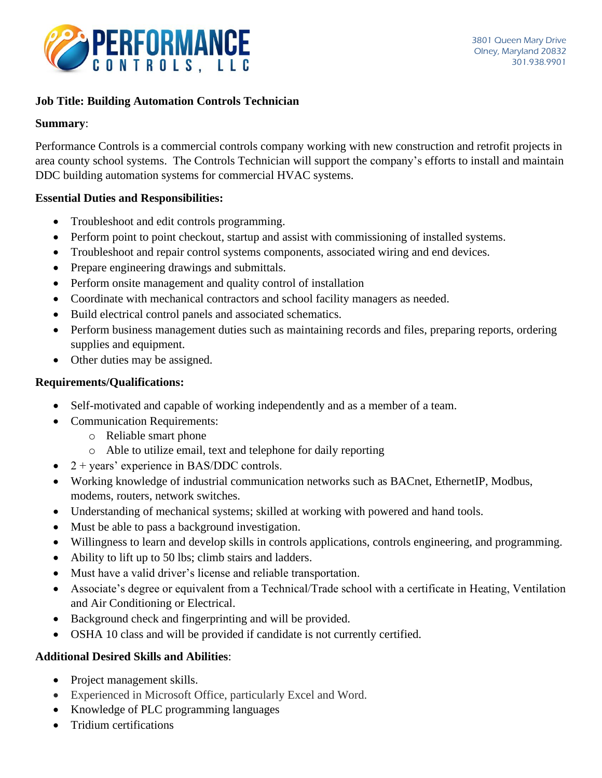

# **Job Title: Building Automation Controls Technician**

#### **Summary**:

Performance Controls is a commercial controls company working with new construction and retrofit projects in area county school systems. The Controls Technician will support the company's efforts to install and maintain DDC building automation systems for commercial HVAC systems.

#### **Essential Duties and Responsibilities:**

- Troubleshoot and edit controls programming.
- Perform point to point checkout, startup and assist with commissioning of installed systems.
- Troubleshoot and repair control systems components, associated wiring and end devices.
- Prepare engineering drawings and submittals.
- Perform onsite management and quality control of installation
- Coordinate with mechanical contractors and school facility managers as needed.
- Build electrical control panels and associated schematics.
- Perform business management duties such as maintaining records and files, preparing reports, ordering supplies and equipment.
- Other duties may be assigned.

#### **Requirements/Qualifications:**

- Self-motivated and capable of working independently and as a member of a team.
- Communication Requirements:
	- o Reliable smart phone
	- o Able to utilize email, text and telephone for daily reporting
- $2 + \text{years'}$  experience in BAS/DDC controls.
- Working knowledge of industrial communication networks such as BACnet, EthernetIP, Modbus, modems, routers, network switches.
- Understanding of mechanical systems; skilled at working with powered and hand tools.
- Must be able to pass a background investigation.
- Willingness to learn and develop skills in controls applications, controls engineering, and programming.
- Ability to lift up to 50 lbs; climb stairs and ladders.
- Must have a valid driver's license and reliable transportation.
- Associate's degree or equivalent from a Technical/Trade school with a certificate in Heating, Ventilation and Air Conditioning or Electrical.
- Background check and fingerprinting and will be provided.
- OSHA 10 class and will be provided if candidate is not currently certified.

### **Additional Desired Skills and Abilities**:

- Project management skills.
- Experienced in Microsoft Office, particularly Excel and Word.
- Knowledge of PLC programming languages
- Tridium certifications